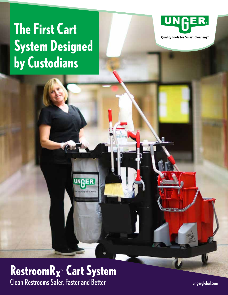# **The First Cart System Designed by Custodians**



Quality Tools for Smart Cleaning™

### **RestroomR<sub>X™</sub> Cart System** Clean Restrooms Safer, Faster and Better

UNGER

ungerglobal.com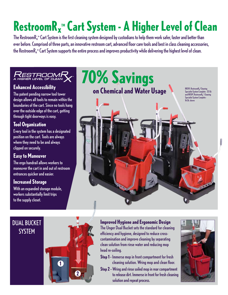# RestroomR<sub>x</sub><sup>™</sup> Cart System - A Higher Level of Clean

The RestroomR $_x^\text{\tiny\rm{m}}$  Cart System is the first cleaning system designed by custodians to help them work safer, faster and better than ever before. Comprised of three parts, an innovative restroom cart, advanced floor care tools and best in class cleaning accessories, the RestroomR $_x^\text{\tiny \tiny{m}}$  Cart System supports the entire process and improves productivity while delivering the highest level of clean.



#### **Enhanced Accessibility**

The patent pending narrow tool tower design allows all tools to remain within the boundaries of the cart. Since no tools hang over the outside edge of the cart, getting through tight doorways is easy.

#### **Tool Organization**

Every tool in the system has a designated position on the cart. Tools are always where they need to be and always clipped on securely.

#### **Easy to Maneuver**

The ergo handrail allows workers to maneuver the cart in and out of restroom entrances quicker and easier.

#### **Increased Storage**

With an expanded storage module, workers substantially limit trips to the supply closet.

**70% Savings on Chemical and Water Usage** RRSPL RestroomR<sub>x</sub><sup>®</sup>Cleaning Specialist System Complete - 32 Qt. and RRSPC Restroom $R_{\mathbf{x}}$ " Cleaning s<br>Specialist System Comp 16 Qt. shown



**Improved Hygiene and Ergonomic Design** The Unger Dual Bucket sets the standard for cleaning efficiency and hygiene, designed to reduce crosscontamination and improve cleaning by separating clean solution from rinse water and reducing mop head re-soiling.

- **Step 1 -** Immerse mop in front compartment for fresh cleaning solution. Wring mop and clean floor.
- **Step 2 -**Wring and rinse soiled mop in rear compartment to release dirt. Immerse in front for fresh cleaning solution and repeat process.

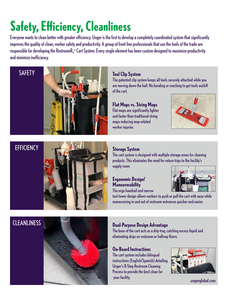## **Safety, Efficiency, Cleanliness**

Everyone wants to clean better with greater efficiency. Unger is the first to develop a completely coordinated system that significantly improves the quality of clean, worker safety and productivity. A group of front line professionals that use the tools of the trade are responsible for developing the RestroomR $_x^\mathsf{w}$  Cart System. Every single element has been custom designed to maximize productivity and minimize inefficiency.

#### SAFETY



#### **Tool Clip System**

The patented clip system keeps all tools securely attached while you are moving down the hall. No bending or reaching to get tools out/off of the cart.

**Flat Mops vs. String Mops** Flat mops are significantly lighter and faster than traditional string mops reducing mop-related worker injuries.



### **EFFICIENCY**



#### **Storage System**

The cart system is designed with multiple storage areas for cleaning products. This eliminates the need for return trips to the facility's supply room.

#### **Ergonomic Design/ Maneuverability**



The ergo handrail and narrow

tool tower design allows workers to push or pull the cart with ease while maneuvering in and out of restroom entrances quicker and easier.

### CLEANLINESS



#### **Dual-Purpose Design Advantage**

The base of the cart acts as a drip tray, catching excess liquid and eliminating drips on restroom or hallway floors.

#### **On-Board Instructions**

The cart system includes bilingual instructions (English/Spanish) detailing Unger's 8-Step Restroom Cleaning Process to provide the best clean for your facility.



ungerglobal.com